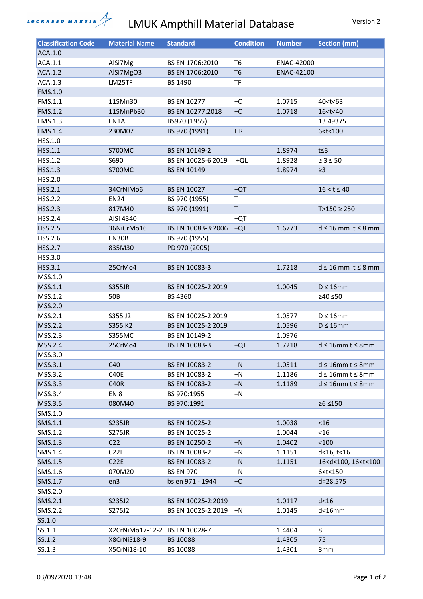

## LMUK Ampthill Material Database Version 2

| ACA.1.0<br>ACA.1.1<br>BS EN 1706:2010<br>T <sub>6</sub><br>ENAC-42000<br>AlSi7Mg<br>T <sub>6</sub><br>AlSi7MgO3<br>ACA.1.2<br>BS EN 1706:2010<br><b>ENAC-42100</b><br><b>TF</b><br>ACA.1.3<br>LM25TF<br>BS 1490<br>FMS.1.0<br>FMS.1.1<br>11SMn30<br>$+C$<br><b>BS EN 10277</b><br>1.0715<br>40 <t<63<br><b>FMS.1.2</b><br/>11SMnPb30<br/>BS EN 10277:2018<br/><math>+C</math><br/>1.0718<br/>16<t<40<br>FMS.1.3<br/>BS970 (1955)<br/>13.49375<br/>EN1A<br/>BS 970 (1991)<br/>6 &lt; t &lt; 100<br/><b>FMS.1.4</b><br/>230M07<br/><b>HR</b><br/>HSS.1.0<br/>HSS.1.1<br/>BS EN 10149-2<br/><b>S700MC</b><br/>1.8974<br/><math>t \leq 3</math><br/>HSS.1.2<br/>S690<br/>BS EN 10025-6 2019<br/>1.8928<br/><math display="inline">\geq 3 \leq 50</math><br/>+QL<br/>HSS.1.3<br/><b>BS EN 10149</b><br/>1.8974<br/><math>\geq</math>3<br/>S700MC<br/>HSS.2.0<br/>HSS.2.1<br/>34CrNiMo6<br/><b>BS EN 10027</b><br/><math>+QT</math><br/><math>16 &lt; t \le 40</math><br/>HSS.2.2<br/>BS 970 (1955)<br/>T<br/><b>EN24</b><br/><math>\mathsf T</math><br/>BS 970 (1991)<br/>HSS.2.3<br/>817M40<br/><math>T&gt;150 \ge 250</math><br/>HSS.2.4<br/>AISI 4340<br/>+QT<br/><b>HSS.2.5</b><br/>36NiCrMo16<br/>BS EN 10083-3:2006<br/>1.6773<br/><math>d \leq 16</math> mm <math>t \leq 8</math> mm<br/><math>+QT</math><br/>HSS.2.6<br/>EN30B<br/>BS 970 (1955)<br/><b>HSS.2.7</b><br/>PD 970 (2005)<br/>835M30<br/>HSS.3.0<br/>HSS.3.1<br/>25CrMo4<br/>BS EN 10083-3<br/>1.7218<br/><math>d \leq 16</math> mm <math>t \leq 8</math> mm<br/>MSS.1.0<br/><math>D \leq 16</math>mm<br/>MSS.1.1<br/><b>S355JR</b><br/>BS EN 10025-2 2019<br/>1.0045<br/>MSS.1.2<br/>BS 4360<br/>50B<br/>≥40 ≤50<br/>MSS.2.0<br/><math>D \leq 16</math>mm<br/>MSS.2.1<br/>S355 J2<br/>BS EN 10025-2 2019<br/>1.0577<br/>MSS.2.2<br/>BS EN 10025-2 2019<br/>S355 K2<br/>1.0596<br/><math>D \leq 16</math>mm<br/>MSS.2.3<br/><b>S355MC</b><br/>BS EN 10149-2<br/>1.0976<br/><math>d \leq 16</math>mm t <math>\leq 8</math>mm<br/>MSS.2.4<br/>25CrMo4<br/>BS EN 10083-3<br/><math>+QT</math><br/>1.7218<br/>MSS.3.0<br/>MSS.3.1<br/>C40<br/>BS EN 10083-2<br/><math>+N</math><br/>1.0511<br/><math>d \leq 16</math>mm t <math>\leq 8</math>mm<br/>MSS.3.2<br/>C40E<br/>BS EN 10083-2<br/>1.1186<br/><math>+N</math><br/><math>d \leq 16</math>mm t <math>\leq 8</math>mm<br/>MSS.3.3<br/><b>C40R</b><br/>BS EN 10083-2<br/><math display="inline">+{\sf N}</math><br/>1.1189<br/><math>d \leq 16</math>mm t <math>\leq 8</math>mm<br/>MSS.3.4<br/>EN<sub>8</sub><br/>BS 970:1955<br/><math>+N</math><br/>MSS.3.5<br/>080M40<br/>≥6 ≤150<br/>BS 970:1991<br/>SMS.1.0<br/>SMS.1.1<br/><b>S235JR</b><br/>BS EN 10025-2<br/>1.0038<br/><math>&lt;</math>16<br/>SMS.1.2<br/>BS EN 10025-2<br/><math display="inline">&lt;16</math><br/><b>S275JR</b><br/>1.0044<br/>C<sub>22</sub><br/>&lt; 100<br/>SMS.1.3<br/>BS EN 10250-2<br/><math>+N</math><br/>1.0402<br/>SMS.1.4<br/>C<sub>2</sub>2E<br/>BS EN 10083-2<br/>d&lt;16, t&lt;16<br/>+N<br/>1.1151<br/>SMS.1.5<br/>C22E<br/>BS EN 10083-2<br/>1.1151<br/>16<d<100, 16<t<100<br=""><math>+N</math><br/>SMS.1.6<br/>070M20<br/><b>BS EN 970</b><br/>6 &lt; t &lt; 150<br/>+N<br/>SMS.1.7<br/>bs en 971 - 1944<br/><math>+C</math><br/>d=28.575<br/>en3<br/>SMS.2.0<br/>SMS.2.1<br/><math>d&lt;</math>16<br/>S235J2<br/>BS EN 10025-2:2019<br/>1.0117<br/>SMS.2.2<br/>S275J2<br/>BS EN 10025-2:2019<br/><math>d&lt;</math>16<math>m</math>m<br/><math>+N</math><br/>1.0145<br/>SS.1.0<br/>SS.1.1<br/>X2CrNiMo17-12-2 BS EN 10028-7<br/>1.4404<br/>8<br/>SS.1.2<br/>75<br/>X8CrNiS18-9<br/>BS 10088<br/>1.4305</d<100,></t<40<br></t<63<br> | <b>Classification Code</b> | <b>Material Name</b> | <b>Standard</b> | <b>Condition</b> | <b>Number</b> | <b>Section (mm)</b> |
|----------------------------------------------------------------------------------------------------------------------------------------------------------------------------------------------------------------------------------------------------------------------------------------------------------------------------------------------------------------------------------------------------------------------------------------------------------------------------------------------------------------------------------------------------------------------------------------------------------------------------------------------------------------------------------------------------------------------------------------------------------------------------------------------------------------------------------------------------------------------------------------------------------------------------------------------------------------------------------------------------------------------------------------------------------------------------------------------------------------------------------------------------------------------------------------------------------------------------------------------------------------------------------------------------------------------------------------------------------------------------------------------------------------------------------------------------------------------------------------------------------------------------------------------------------------------------------------------------------------------------------------------------------------------------------------------------------------------------------------------------------------------------------------------------------------------------------------------------------------------------------------------------------------------------------------------------------------------------------------------------------------------------------------------------------------------------------------------------------------------------------------------------------------------------------------------------------------------------------------------------------------------------------------------------------------------------------------------------------------------------------------------------------------------------------------------------------------------------------------------------------------------------------------------------------------------------------------------------------------------------------------------------------------------------------------------------------------------------------------------------------------------------------------------------------------------------------------------------------------------------------------------------------------------------------------------------------------------------------------------------------------------------------------------------------------------------------------------------------------------------------------------------------------------------------------------------------------------------------------------------------------------------------------------------------------------------------------------------------------------------------------------------------------------------------------------------------------------------------------------------------------------------------------------------------------------------------------------------------------------------------------------------|----------------------------|----------------------|-----------------|------------------|---------------|---------------------|
|                                                                                                                                                                                                                                                                                                                                                                                                                                                                                                                                                                                                                                                                                                                                                                                                                                                                                                                                                                                                                                                                                                                                                                                                                                                                                                                                                                                                                                                                                                                                                                                                                                                                                                                                                                                                                                                                                                                                                                                                                                                                                                                                                                                                                                                                                                                                                                                                                                                                                                                                                                                                                                                                                                                                                                                                                                                                                                                                                                                                                                                                                                                                                                                                                                                                                                                                                                                                                                                                                                                                                                                                                                                    |                            |                      |                 |                  |               |                     |
|                                                                                                                                                                                                                                                                                                                                                                                                                                                                                                                                                                                                                                                                                                                                                                                                                                                                                                                                                                                                                                                                                                                                                                                                                                                                                                                                                                                                                                                                                                                                                                                                                                                                                                                                                                                                                                                                                                                                                                                                                                                                                                                                                                                                                                                                                                                                                                                                                                                                                                                                                                                                                                                                                                                                                                                                                                                                                                                                                                                                                                                                                                                                                                                                                                                                                                                                                                                                                                                                                                                                                                                                                                                    |                            |                      |                 |                  |               |                     |
|                                                                                                                                                                                                                                                                                                                                                                                                                                                                                                                                                                                                                                                                                                                                                                                                                                                                                                                                                                                                                                                                                                                                                                                                                                                                                                                                                                                                                                                                                                                                                                                                                                                                                                                                                                                                                                                                                                                                                                                                                                                                                                                                                                                                                                                                                                                                                                                                                                                                                                                                                                                                                                                                                                                                                                                                                                                                                                                                                                                                                                                                                                                                                                                                                                                                                                                                                                                                                                                                                                                                                                                                                                                    |                            |                      |                 |                  |               |                     |
|                                                                                                                                                                                                                                                                                                                                                                                                                                                                                                                                                                                                                                                                                                                                                                                                                                                                                                                                                                                                                                                                                                                                                                                                                                                                                                                                                                                                                                                                                                                                                                                                                                                                                                                                                                                                                                                                                                                                                                                                                                                                                                                                                                                                                                                                                                                                                                                                                                                                                                                                                                                                                                                                                                                                                                                                                                                                                                                                                                                                                                                                                                                                                                                                                                                                                                                                                                                                                                                                                                                                                                                                                                                    |                            |                      |                 |                  |               |                     |
|                                                                                                                                                                                                                                                                                                                                                                                                                                                                                                                                                                                                                                                                                                                                                                                                                                                                                                                                                                                                                                                                                                                                                                                                                                                                                                                                                                                                                                                                                                                                                                                                                                                                                                                                                                                                                                                                                                                                                                                                                                                                                                                                                                                                                                                                                                                                                                                                                                                                                                                                                                                                                                                                                                                                                                                                                                                                                                                                                                                                                                                                                                                                                                                                                                                                                                                                                                                                                                                                                                                                                                                                                                                    |                            |                      |                 |                  |               |                     |
|                                                                                                                                                                                                                                                                                                                                                                                                                                                                                                                                                                                                                                                                                                                                                                                                                                                                                                                                                                                                                                                                                                                                                                                                                                                                                                                                                                                                                                                                                                                                                                                                                                                                                                                                                                                                                                                                                                                                                                                                                                                                                                                                                                                                                                                                                                                                                                                                                                                                                                                                                                                                                                                                                                                                                                                                                                                                                                                                                                                                                                                                                                                                                                                                                                                                                                                                                                                                                                                                                                                                                                                                                                                    |                            |                      |                 |                  |               |                     |
|                                                                                                                                                                                                                                                                                                                                                                                                                                                                                                                                                                                                                                                                                                                                                                                                                                                                                                                                                                                                                                                                                                                                                                                                                                                                                                                                                                                                                                                                                                                                                                                                                                                                                                                                                                                                                                                                                                                                                                                                                                                                                                                                                                                                                                                                                                                                                                                                                                                                                                                                                                                                                                                                                                                                                                                                                                                                                                                                                                                                                                                                                                                                                                                                                                                                                                                                                                                                                                                                                                                                                                                                                                                    |                            |                      |                 |                  |               |                     |
|                                                                                                                                                                                                                                                                                                                                                                                                                                                                                                                                                                                                                                                                                                                                                                                                                                                                                                                                                                                                                                                                                                                                                                                                                                                                                                                                                                                                                                                                                                                                                                                                                                                                                                                                                                                                                                                                                                                                                                                                                                                                                                                                                                                                                                                                                                                                                                                                                                                                                                                                                                                                                                                                                                                                                                                                                                                                                                                                                                                                                                                                                                                                                                                                                                                                                                                                                                                                                                                                                                                                                                                                                                                    |                            |                      |                 |                  |               |                     |
|                                                                                                                                                                                                                                                                                                                                                                                                                                                                                                                                                                                                                                                                                                                                                                                                                                                                                                                                                                                                                                                                                                                                                                                                                                                                                                                                                                                                                                                                                                                                                                                                                                                                                                                                                                                                                                                                                                                                                                                                                                                                                                                                                                                                                                                                                                                                                                                                                                                                                                                                                                                                                                                                                                                                                                                                                                                                                                                                                                                                                                                                                                                                                                                                                                                                                                                                                                                                                                                                                                                                                                                                                                                    |                            |                      |                 |                  |               |                     |
|                                                                                                                                                                                                                                                                                                                                                                                                                                                                                                                                                                                                                                                                                                                                                                                                                                                                                                                                                                                                                                                                                                                                                                                                                                                                                                                                                                                                                                                                                                                                                                                                                                                                                                                                                                                                                                                                                                                                                                                                                                                                                                                                                                                                                                                                                                                                                                                                                                                                                                                                                                                                                                                                                                                                                                                                                                                                                                                                                                                                                                                                                                                                                                                                                                                                                                                                                                                                                                                                                                                                                                                                                                                    |                            |                      |                 |                  |               |                     |
|                                                                                                                                                                                                                                                                                                                                                                                                                                                                                                                                                                                                                                                                                                                                                                                                                                                                                                                                                                                                                                                                                                                                                                                                                                                                                                                                                                                                                                                                                                                                                                                                                                                                                                                                                                                                                                                                                                                                                                                                                                                                                                                                                                                                                                                                                                                                                                                                                                                                                                                                                                                                                                                                                                                                                                                                                                                                                                                                                                                                                                                                                                                                                                                                                                                                                                                                                                                                                                                                                                                                                                                                                                                    |                            |                      |                 |                  |               |                     |
|                                                                                                                                                                                                                                                                                                                                                                                                                                                                                                                                                                                                                                                                                                                                                                                                                                                                                                                                                                                                                                                                                                                                                                                                                                                                                                                                                                                                                                                                                                                                                                                                                                                                                                                                                                                                                                                                                                                                                                                                                                                                                                                                                                                                                                                                                                                                                                                                                                                                                                                                                                                                                                                                                                                                                                                                                                                                                                                                                                                                                                                                                                                                                                                                                                                                                                                                                                                                                                                                                                                                                                                                                                                    |                            |                      |                 |                  |               |                     |
|                                                                                                                                                                                                                                                                                                                                                                                                                                                                                                                                                                                                                                                                                                                                                                                                                                                                                                                                                                                                                                                                                                                                                                                                                                                                                                                                                                                                                                                                                                                                                                                                                                                                                                                                                                                                                                                                                                                                                                                                                                                                                                                                                                                                                                                                                                                                                                                                                                                                                                                                                                                                                                                                                                                                                                                                                                                                                                                                                                                                                                                                                                                                                                                                                                                                                                                                                                                                                                                                                                                                                                                                                                                    |                            |                      |                 |                  |               |                     |
|                                                                                                                                                                                                                                                                                                                                                                                                                                                                                                                                                                                                                                                                                                                                                                                                                                                                                                                                                                                                                                                                                                                                                                                                                                                                                                                                                                                                                                                                                                                                                                                                                                                                                                                                                                                                                                                                                                                                                                                                                                                                                                                                                                                                                                                                                                                                                                                                                                                                                                                                                                                                                                                                                                                                                                                                                                                                                                                                                                                                                                                                                                                                                                                                                                                                                                                                                                                                                                                                                                                                                                                                                                                    |                            |                      |                 |                  |               |                     |
|                                                                                                                                                                                                                                                                                                                                                                                                                                                                                                                                                                                                                                                                                                                                                                                                                                                                                                                                                                                                                                                                                                                                                                                                                                                                                                                                                                                                                                                                                                                                                                                                                                                                                                                                                                                                                                                                                                                                                                                                                                                                                                                                                                                                                                                                                                                                                                                                                                                                                                                                                                                                                                                                                                                                                                                                                                                                                                                                                                                                                                                                                                                                                                                                                                                                                                                                                                                                                                                                                                                                                                                                                                                    |                            |                      |                 |                  |               |                     |
|                                                                                                                                                                                                                                                                                                                                                                                                                                                                                                                                                                                                                                                                                                                                                                                                                                                                                                                                                                                                                                                                                                                                                                                                                                                                                                                                                                                                                                                                                                                                                                                                                                                                                                                                                                                                                                                                                                                                                                                                                                                                                                                                                                                                                                                                                                                                                                                                                                                                                                                                                                                                                                                                                                                                                                                                                                                                                                                                                                                                                                                                                                                                                                                                                                                                                                                                                                                                                                                                                                                                                                                                                                                    |                            |                      |                 |                  |               |                     |
|                                                                                                                                                                                                                                                                                                                                                                                                                                                                                                                                                                                                                                                                                                                                                                                                                                                                                                                                                                                                                                                                                                                                                                                                                                                                                                                                                                                                                                                                                                                                                                                                                                                                                                                                                                                                                                                                                                                                                                                                                                                                                                                                                                                                                                                                                                                                                                                                                                                                                                                                                                                                                                                                                                                                                                                                                                                                                                                                                                                                                                                                                                                                                                                                                                                                                                                                                                                                                                                                                                                                                                                                                                                    |                            |                      |                 |                  |               |                     |
|                                                                                                                                                                                                                                                                                                                                                                                                                                                                                                                                                                                                                                                                                                                                                                                                                                                                                                                                                                                                                                                                                                                                                                                                                                                                                                                                                                                                                                                                                                                                                                                                                                                                                                                                                                                                                                                                                                                                                                                                                                                                                                                                                                                                                                                                                                                                                                                                                                                                                                                                                                                                                                                                                                                                                                                                                                                                                                                                                                                                                                                                                                                                                                                                                                                                                                                                                                                                                                                                                                                                                                                                                                                    |                            |                      |                 |                  |               |                     |
|                                                                                                                                                                                                                                                                                                                                                                                                                                                                                                                                                                                                                                                                                                                                                                                                                                                                                                                                                                                                                                                                                                                                                                                                                                                                                                                                                                                                                                                                                                                                                                                                                                                                                                                                                                                                                                                                                                                                                                                                                                                                                                                                                                                                                                                                                                                                                                                                                                                                                                                                                                                                                                                                                                                                                                                                                                                                                                                                                                                                                                                                                                                                                                                                                                                                                                                                                                                                                                                                                                                                                                                                                                                    |                            |                      |                 |                  |               |                     |
|                                                                                                                                                                                                                                                                                                                                                                                                                                                                                                                                                                                                                                                                                                                                                                                                                                                                                                                                                                                                                                                                                                                                                                                                                                                                                                                                                                                                                                                                                                                                                                                                                                                                                                                                                                                                                                                                                                                                                                                                                                                                                                                                                                                                                                                                                                                                                                                                                                                                                                                                                                                                                                                                                                                                                                                                                                                                                                                                                                                                                                                                                                                                                                                                                                                                                                                                                                                                                                                                                                                                                                                                                                                    |                            |                      |                 |                  |               |                     |
|                                                                                                                                                                                                                                                                                                                                                                                                                                                                                                                                                                                                                                                                                                                                                                                                                                                                                                                                                                                                                                                                                                                                                                                                                                                                                                                                                                                                                                                                                                                                                                                                                                                                                                                                                                                                                                                                                                                                                                                                                                                                                                                                                                                                                                                                                                                                                                                                                                                                                                                                                                                                                                                                                                                                                                                                                                                                                                                                                                                                                                                                                                                                                                                                                                                                                                                                                                                                                                                                                                                                                                                                                                                    |                            |                      |                 |                  |               |                     |
|                                                                                                                                                                                                                                                                                                                                                                                                                                                                                                                                                                                                                                                                                                                                                                                                                                                                                                                                                                                                                                                                                                                                                                                                                                                                                                                                                                                                                                                                                                                                                                                                                                                                                                                                                                                                                                                                                                                                                                                                                                                                                                                                                                                                                                                                                                                                                                                                                                                                                                                                                                                                                                                                                                                                                                                                                                                                                                                                                                                                                                                                                                                                                                                                                                                                                                                                                                                                                                                                                                                                                                                                                                                    |                            |                      |                 |                  |               |                     |
|                                                                                                                                                                                                                                                                                                                                                                                                                                                                                                                                                                                                                                                                                                                                                                                                                                                                                                                                                                                                                                                                                                                                                                                                                                                                                                                                                                                                                                                                                                                                                                                                                                                                                                                                                                                                                                                                                                                                                                                                                                                                                                                                                                                                                                                                                                                                                                                                                                                                                                                                                                                                                                                                                                                                                                                                                                                                                                                                                                                                                                                                                                                                                                                                                                                                                                                                                                                                                                                                                                                                                                                                                                                    |                            |                      |                 |                  |               |                     |
|                                                                                                                                                                                                                                                                                                                                                                                                                                                                                                                                                                                                                                                                                                                                                                                                                                                                                                                                                                                                                                                                                                                                                                                                                                                                                                                                                                                                                                                                                                                                                                                                                                                                                                                                                                                                                                                                                                                                                                                                                                                                                                                                                                                                                                                                                                                                                                                                                                                                                                                                                                                                                                                                                                                                                                                                                                                                                                                                                                                                                                                                                                                                                                                                                                                                                                                                                                                                                                                                                                                                                                                                                                                    |                            |                      |                 |                  |               |                     |
|                                                                                                                                                                                                                                                                                                                                                                                                                                                                                                                                                                                                                                                                                                                                                                                                                                                                                                                                                                                                                                                                                                                                                                                                                                                                                                                                                                                                                                                                                                                                                                                                                                                                                                                                                                                                                                                                                                                                                                                                                                                                                                                                                                                                                                                                                                                                                                                                                                                                                                                                                                                                                                                                                                                                                                                                                                                                                                                                                                                                                                                                                                                                                                                                                                                                                                                                                                                                                                                                                                                                                                                                                                                    |                            |                      |                 |                  |               |                     |
|                                                                                                                                                                                                                                                                                                                                                                                                                                                                                                                                                                                                                                                                                                                                                                                                                                                                                                                                                                                                                                                                                                                                                                                                                                                                                                                                                                                                                                                                                                                                                                                                                                                                                                                                                                                                                                                                                                                                                                                                                                                                                                                                                                                                                                                                                                                                                                                                                                                                                                                                                                                                                                                                                                                                                                                                                                                                                                                                                                                                                                                                                                                                                                                                                                                                                                                                                                                                                                                                                                                                                                                                                                                    |                            |                      |                 |                  |               |                     |
|                                                                                                                                                                                                                                                                                                                                                                                                                                                                                                                                                                                                                                                                                                                                                                                                                                                                                                                                                                                                                                                                                                                                                                                                                                                                                                                                                                                                                                                                                                                                                                                                                                                                                                                                                                                                                                                                                                                                                                                                                                                                                                                                                                                                                                                                                                                                                                                                                                                                                                                                                                                                                                                                                                                                                                                                                                                                                                                                                                                                                                                                                                                                                                                                                                                                                                                                                                                                                                                                                                                                                                                                                                                    |                            |                      |                 |                  |               |                     |
|                                                                                                                                                                                                                                                                                                                                                                                                                                                                                                                                                                                                                                                                                                                                                                                                                                                                                                                                                                                                                                                                                                                                                                                                                                                                                                                                                                                                                                                                                                                                                                                                                                                                                                                                                                                                                                                                                                                                                                                                                                                                                                                                                                                                                                                                                                                                                                                                                                                                                                                                                                                                                                                                                                                                                                                                                                                                                                                                                                                                                                                                                                                                                                                                                                                                                                                                                                                                                                                                                                                                                                                                                                                    |                            |                      |                 |                  |               |                     |
|                                                                                                                                                                                                                                                                                                                                                                                                                                                                                                                                                                                                                                                                                                                                                                                                                                                                                                                                                                                                                                                                                                                                                                                                                                                                                                                                                                                                                                                                                                                                                                                                                                                                                                                                                                                                                                                                                                                                                                                                                                                                                                                                                                                                                                                                                                                                                                                                                                                                                                                                                                                                                                                                                                                                                                                                                                                                                                                                                                                                                                                                                                                                                                                                                                                                                                                                                                                                                                                                                                                                                                                                                                                    |                            |                      |                 |                  |               |                     |
|                                                                                                                                                                                                                                                                                                                                                                                                                                                                                                                                                                                                                                                                                                                                                                                                                                                                                                                                                                                                                                                                                                                                                                                                                                                                                                                                                                                                                                                                                                                                                                                                                                                                                                                                                                                                                                                                                                                                                                                                                                                                                                                                                                                                                                                                                                                                                                                                                                                                                                                                                                                                                                                                                                                                                                                                                                                                                                                                                                                                                                                                                                                                                                                                                                                                                                                                                                                                                                                                                                                                                                                                                                                    |                            |                      |                 |                  |               |                     |
|                                                                                                                                                                                                                                                                                                                                                                                                                                                                                                                                                                                                                                                                                                                                                                                                                                                                                                                                                                                                                                                                                                                                                                                                                                                                                                                                                                                                                                                                                                                                                                                                                                                                                                                                                                                                                                                                                                                                                                                                                                                                                                                                                                                                                                                                                                                                                                                                                                                                                                                                                                                                                                                                                                                                                                                                                                                                                                                                                                                                                                                                                                                                                                                                                                                                                                                                                                                                                                                                                                                                                                                                                                                    |                            |                      |                 |                  |               |                     |
|                                                                                                                                                                                                                                                                                                                                                                                                                                                                                                                                                                                                                                                                                                                                                                                                                                                                                                                                                                                                                                                                                                                                                                                                                                                                                                                                                                                                                                                                                                                                                                                                                                                                                                                                                                                                                                                                                                                                                                                                                                                                                                                                                                                                                                                                                                                                                                                                                                                                                                                                                                                                                                                                                                                                                                                                                                                                                                                                                                                                                                                                                                                                                                                                                                                                                                                                                                                                                                                                                                                                                                                                                                                    |                            |                      |                 |                  |               |                     |
|                                                                                                                                                                                                                                                                                                                                                                                                                                                                                                                                                                                                                                                                                                                                                                                                                                                                                                                                                                                                                                                                                                                                                                                                                                                                                                                                                                                                                                                                                                                                                                                                                                                                                                                                                                                                                                                                                                                                                                                                                                                                                                                                                                                                                                                                                                                                                                                                                                                                                                                                                                                                                                                                                                                                                                                                                                                                                                                                                                                                                                                                                                                                                                                                                                                                                                                                                                                                                                                                                                                                                                                                                                                    |                            |                      |                 |                  |               |                     |
|                                                                                                                                                                                                                                                                                                                                                                                                                                                                                                                                                                                                                                                                                                                                                                                                                                                                                                                                                                                                                                                                                                                                                                                                                                                                                                                                                                                                                                                                                                                                                                                                                                                                                                                                                                                                                                                                                                                                                                                                                                                                                                                                                                                                                                                                                                                                                                                                                                                                                                                                                                                                                                                                                                                                                                                                                                                                                                                                                                                                                                                                                                                                                                                                                                                                                                                                                                                                                                                                                                                                                                                                                                                    |                            |                      |                 |                  |               |                     |
|                                                                                                                                                                                                                                                                                                                                                                                                                                                                                                                                                                                                                                                                                                                                                                                                                                                                                                                                                                                                                                                                                                                                                                                                                                                                                                                                                                                                                                                                                                                                                                                                                                                                                                                                                                                                                                                                                                                                                                                                                                                                                                                                                                                                                                                                                                                                                                                                                                                                                                                                                                                                                                                                                                                                                                                                                                                                                                                                                                                                                                                                                                                                                                                                                                                                                                                                                                                                                                                                                                                                                                                                                                                    |                            |                      |                 |                  |               |                     |
|                                                                                                                                                                                                                                                                                                                                                                                                                                                                                                                                                                                                                                                                                                                                                                                                                                                                                                                                                                                                                                                                                                                                                                                                                                                                                                                                                                                                                                                                                                                                                                                                                                                                                                                                                                                                                                                                                                                                                                                                                                                                                                                                                                                                                                                                                                                                                                                                                                                                                                                                                                                                                                                                                                                                                                                                                                                                                                                                                                                                                                                                                                                                                                                                                                                                                                                                                                                                                                                                                                                                                                                                                                                    |                            |                      |                 |                  |               |                     |
|                                                                                                                                                                                                                                                                                                                                                                                                                                                                                                                                                                                                                                                                                                                                                                                                                                                                                                                                                                                                                                                                                                                                                                                                                                                                                                                                                                                                                                                                                                                                                                                                                                                                                                                                                                                                                                                                                                                                                                                                                                                                                                                                                                                                                                                                                                                                                                                                                                                                                                                                                                                                                                                                                                                                                                                                                                                                                                                                                                                                                                                                                                                                                                                                                                                                                                                                                                                                                                                                                                                                                                                                                                                    |                            |                      |                 |                  |               |                     |
|                                                                                                                                                                                                                                                                                                                                                                                                                                                                                                                                                                                                                                                                                                                                                                                                                                                                                                                                                                                                                                                                                                                                                                                                                                                                                                                                                                                                                                                                                                                                                                                                                                                                                                                                                                                                                                                                                                                                                                                                                                                                                                                                                                                                                                                                                                                                                                                                                                                                                                                                                                                                                                                                                                                                                                                                                                                                                                                                                                                                                                                                                                                                                                                                                                                                                                                                                                                                                                                                                                                                                                                                                                                    |                            |                      |                 |                  |               |                     |
|                                                                                                                                                                                                                                                                                                                                                                                                                                                                                                                                                                                                                                                                                                                                                                                                                                                                                                                                                                                                                                                                                                                                                                                                                                                                                                                                                                                                                                                                                                                                                                                                                                                                                                                                                                                                                                                                                                                                                                                                                                                                                                                                                                                                                                                                                                                                                                                                                                                                                                                                                                                                                                                                                                                                                                                                                                                                                                                                                                                                                                                                                                                                                                                                                                                                                                                                                                                                                                                                                                                                                                                                                                                    |                            |                      |                 |                  |               |                     |
|                                                                                                                                                                                                                                                                                                                                                                                                                                                                                                                                                                                                                                                                                                                                                                                                                                                                                                                                                                                                                                                                                                                                                                                                                                                                                                                                                                                                                                                                                                                                                                                                                                                                                                                                                                                                                                                                                                                                                                                                                                                                                                                                                                                                                                                                                                                                                                                                                                                                                                                                                                                                                                                                                                                                                                                                                                                                                                                                                                                                                                                                                                                                                                                                                                                                                                                                                                                                                                                                                                                                                                                                                                                    |                            |                      |                 |                  |               |                     |
|                                                                                                                                                                                                                                                                                                                                                                                                                                                                                                                                                                                                                                                                                                                                                                                                                                                                                                                                                                                                                                                                                                                                                                                                                                                                                                                                                                                                                                                                                                                                                                                                                                                                                                                                                                                                                                                                                                                                                                                                                                                                                                                                                                                                                                                                                                                                                                                                                                                                                                                                                                                                                                                                                                                                                                                                                                                                                                                                                                                                                                                                                                                                                                                                                                                                                                                                                                                                                                                                                                                                                                                                                                                    |                            |                      |                 |                  |               |                     |
|                                                                                                                                                                                                                                                                                                                                                                                                                                                                                                                                                                                                                                                                                                                                                                                                                                                                                                                                                                                                                                                                                                                                                                                                                                                                                                                                                                                                                                                                                                                                                                                                                                                                                                                                                                                                                                                                                                                                                                                                                                                                                                                                                                                                                                                                                                                                                                                                                                                                                                                                                                                                                                                                                                                                                                                                                                                                                                                                                                                                                                                                                                                                                                                                                                                                                                                                                                                                                                                                                                                                                                                                                                                    |                            |                      |                 |                  |               |                     |
|                                                                                                                                                                                                                                                                                                                                                                                                                                                                                                                                                                                                                                                                                                                                                                                                                                                                                                                                                                                                                                                                                                                                                                                                                                                                                                                                                                                                                                                                                                                                                                                                                                                                                                                                                                                                                                                                                                                                                                                                                                                                                                                                                                                                                                                                                                                                                                                                                                                                                                                                                                                                                                                                                                                                                                                                                                                                                                                                                                                                                                                                                                                                                                                                                                                                                                                                                                                                                                                                                                                                                                                                                                                    |                            |                      |                 |                  |               |                     |
|                                                                                                                                                                                                                                                                                                                                                                                                                                                                                                                                                                                                                                                                                                                                                                                                                                                                                                                                                                                                                                                                                                                                                                                                                                                                                                                                                                                                                                                                                                                                                                                                                                                                                                                                                                                                                                                                                                                                                                                                                                                                                                                                                                                                                                                                                                                                                                                                                                                                                                                                                                                                                                                                                                                                                                                                                                                                                                                                                                                                                                                                                                                                                                                                                                                                                                                                                                                                                                                                                                                                                                                                                                                    |                            |                      |                 |                  |               |                     |
|                                                                                                                                                                                                                                                                                                                                                                                                                                                                                                                                                                                                                                                                                                                                                                                                                                                                                                                                                                                                                                                                                                                                                                                                                                                                                                                                                                                                                                                                                                                                                                                                                                                                                                                                                                                                                                                                                                                                                                                                                                                                                                                                                                                                                                                                                                                                                                                                                                                                                                                                                                                                                                                                                                                                                                                                                                                                                                                                                                                                                                                                                                                                                                                                                                                                                                                                                                                                                                                                                                                                                                                                                                                    |                            |                      |                 |                  |               |                     |
|                                                                                                                                                                                                                                                                                                                                                                                                                                                                                                                                                                                                                                                                                                                                                                                                                                                                                                                                                                                                                                                                                                                                                                                                                                                                                                                                                                                                                                                                                                                                                                                                                                                                                                                                                                                                                                                                                                                                                                                                                                                                                                                                                                                                                                                                                                                                                                                                                                                                                                                                                                                                                                                                                                                                                                                                                                                                                                                                                                                                                                                                                                                                                                                                                                                                                                                                                                                                                                                                                                                                                                                                                                                    |                            |                      |                 |                  |               |                     |
|                                                                                                                                                                                                                                                                                                                                                                                                                                                                                                                                                                                                                                                                                                                                                                                                                                                                                                                                                                                                                                                                                                                                                                                                                                                                                                                                                                                                                                                                                                                                                                                                                                                                                                                                                                                                                                                                                                                                                                                                                                                                                                                                                                                                                                                                                                                                                                                                                                                                                                                                                                                                                                                                                                                                                                                                                                                                                                                                                                                                                                                                                                                                                                                                                                                                                                                                                                                                                                                                                                                                                                                                                                                    |                            |                      |                 |                  |               |                     |
|                                                                                                                                                                                                                                                                                                                                                                                                                                                                                                                                                                                                                                                                                                                                                                                                                                                                                                                                                                                                                                                                                                                                                                                                                                                                                                                                                                                                                                                                                                                                                                                                                                                                                                                                                                                                                                                                                                                                                                                                                                                                                                                                                                                                                                                                                                                                                                                                                                                                                                                                                                                                                                                                                                                                                                                                                                                                                                                                                                                                                                                                                                                                                                                                                                                                                                                                                                                                                                                                                                                                                                                                                                                    |                            |                      |                 |                  |               |                     |
|                                                                                                                                                                                                                                                                                                                                                                                                                                                                                                                                                                                                                                                                                                                                                                                                                                                                                                                                                                                                                                                                                                                                                                                                                                                                                                                                                                                                                                                                                                                                                                                                                                                                                                                                                                                                                                                                                                                                                                                                                                                                                                                                                                                                                                                                                                                                                                                                                                                                                                                                                                                                                                                                                                                                                                                                                                                                                                                                                                                                                                                                                                                                                                                                                                                                                                                                                                                                                                                                                                                                                                                                                                                    |                            |                      |                 |                  |               |                     |
|                                                                                                                                                                                                                                                                                                                                                                                                                                                                                                                                                                                                                                                                                                                                                                                                                                                                                                                                                                                                                                                                                                                                                                                                                                                                                                                                                                                                                                                                                                                                                                                                                                                                                                                                                                                                                                                                                                                                                                                                                                                                                                                                                                                                                                                                                                                                                                                                                                                                                                                                                                                                                                                                                                                                                                                                                                                                                                                                                                                                                                                                                                                                                                                                                                                                                                                                                                                                                                                                                                                                                                                                                                                    |                            |                      |                 |                  |               |                     |
|                                                                                                                                                                                                                                                                                                                                                                                                                                                                                                                                                                                                                                                                                                                                                                                                                                                                                                                                                                                                                                                                                                                                                                                                                                                                                                                                                                                                                                                                                                                                                                                                                                                                                                                                                                                                                                                                                                                                                                                                                                                                                                                                                                                                                                                                                                                                                                                                                                                                                                                                                                                                                                                                                                                                                                                                                                                                                                                                                                                                                                                                                                                                                                                                                                                                                                                                                                                                                                                                                                                                                                                                                                                    |                            |                      |                 |                  |               |                     |
|                                                                                                                                                                                                                                                                                                                                                                                                                                                                                                                                                                                                                                                                                                                                                                                                                                                                                                                                                                                                                                                                                                                                                                                                                                                                                                                                                                                                                                                                                                                                                                                                                                                                                                                                                                                                                                                                                                                                                                                                                                                                                                                                                                                                                                                                                                                                                                                                                                                                                                                                                                                                                                                                                                                                                                                                                                                                                                                                                                                                                                                                                                                                                                                                                                                                                                                                                                                                                                                                                                                                                                                                                                                    | SS.1.3                     | X5CrNi18-10          | BS 10088        |                  | 1.4301        | 8mm                 |